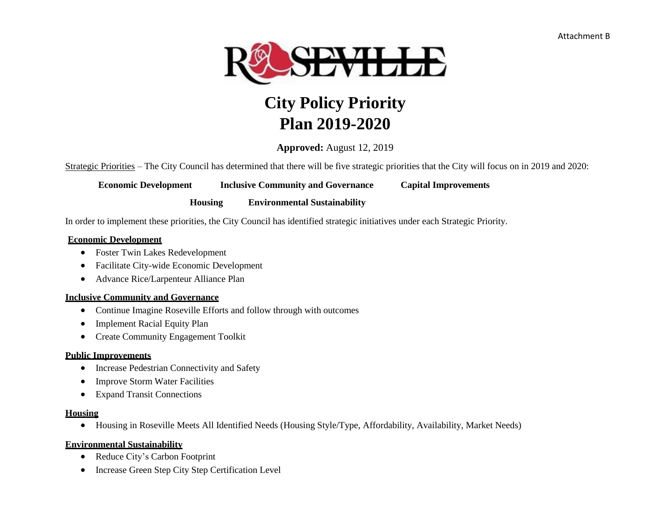

# **City Policy Priority Plan 2019-2020**

**Approved:** August 12, 2019

Strategic Priorities – The City Council has determined that there will be five strategic priorities that the City will focus on in 2019 and 2020:

**Economic Development Inclusive Community and Governance Capital Improvements** 

**Housing Environmental Sustainability**

In order to implement these priorities, the City Council has identified strategic initiatives under each Strategic Priority.

#### **Economic Development**

- Foster Twin Lakes Redevelopment
- Facilitate City-wide Economic Development
- Advance Rice/Larpenteur Alliance Plan

#### **Inclusive Community and Governance**

- Continue Imagine Roseville Efforts and follow through with outcomes
- Implement Racial Equity Plan
- Create Community Engagement Toolkit

#### **Public Improvements**

- Increase Pedestrian Connectivity and Safety
- Improve Storm Water Facilities
- Expand Transit Connections

#### **Housing**

Housing in Roseville Meets All Identified Needs (Housing Style/Type, Affordability, Availability, Market Needs)

#### **Environmental Sustainability**

- Reduce City's Carbon Footprint
- Increase Green Step City Step Certification Level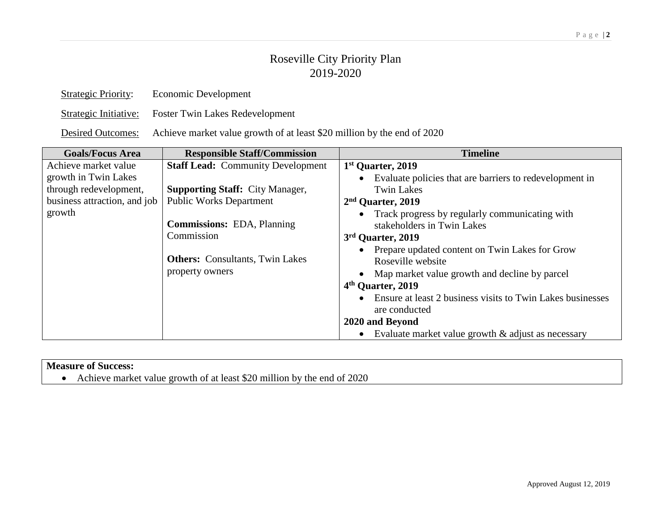| <b>Strategic Priority:</b> | Economic Development                   |
|----------------------------|----------------------------------------|
| Strategic Initiative:      | <b>Foster Twin Lakes Redevelopment</b> |
|                            |                                        |

Desired Outcomes: Achieve market value growth of at least \$20 million by the end of 2020

| <b>Goals/Focus Area</b>      | <b>Responsible Staff/Commission</b>                                                                          | <b>Timeline</b>                                                                                                                                                                                                                                                                                                                                                                                                       |
|------------------------------|--------------------------------------------------------------------------------------------------------------|-----------------------------------------------------------------------------------------------------------------------------------------------------------------------------------------------------------------------------------------------------------------------------------------------------------------------------------------------------------------------------------------------------------------------|
| Achieve market value         | <b>Staff Lead: Community Development</b>                                                                     | 1 <sup>st</sup> Quarter, 2019                                                                                                                                                                                                                                                                                                                                                                                         |
| growth in Twin Lakes         |                                                                                                              | Evaluate policies that are barriers to redevelopment in                                                                                                                                                                                                                                                                                                                                                               |
| through redevelopment,       | <b>Supporting Staff: City Manager,</b>                                                                       | <b>Twin Lakes</b>                                                                                                                                                                                                                                                                                                                                                                                                     |
| business attraction, and job | <b>Public Works Department</b>                                                                               | 2 <sup>nd</sup> Quarter, 2019                                                                                                                                                                                                                                                                                                                                                                                         |
| growth                       | <b>Commissions: EDA, Planning</b><br>Commission<br><b>Others:</b> Consultants, Twin Lakes<br>property owners | Track progress by regularly communicating with<br>stakeholders in Twin Lakes<br>3rd Quarter, 2019<br>Prepare updated content on Twin Lakes for Grow<br>Roseville website<br>Map market value growth and decline by parcel<br>4 <sup>th</sup> Quarter, 2019<br>Ensure at least 2 business visits to Twin Lakes businesses<br>are conducted<br>2020 and Beyond<br>Evaluate market value growth $\&$ adjust as necessary |

#### **Measure of Success:**

Achieve market value growth of at least \$20 million by the end of 2020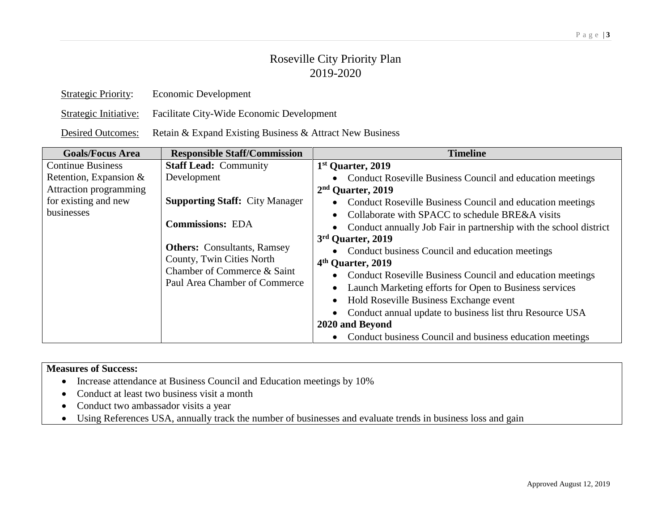| <b>Strategic Priority:</b> | Economic Development                                     |
|----------------------------|----------------------------------------------------------|
| Strategic Initiative:      | Facilitate City-Wide Economic Development                |
| <b>Desired Outcomes:</b>   | Retain & Expand Existing Business & Attract New Business |

| <b>Goals/Focus Area</b>   | <b>Responsible Staff/Commission</b>   | <b>Timeline</b>                                                                |
|---------------------------|---------------------------------------|--------------------------------------------------------------------------------|
| <b>Continue Business</b>  | <b>Staff Lead: Community</b>          | 1 <sup>st</sup> Quarter, 2019                                                  |
| Retention, Expansion $\&$ | Development                           | Conduct Roseville Business Council and education meetings<br>$\bullet$         |
| Attraction programming    |                                       | $2nd$ Quarter, 2019                                                            |
| for existing and new      | <b>Supporting Staff: City Manager</b> | Conduct Roseville Business Council and education meetings<br>$\bullet$         |
| businesses                |                                       | Collaborate with SPACC to schedule BRE&A visits<br>$\bullet$                   |
|                           | <b>Commissions: EDA</b>               | Conduct annually Job Fair in partnership with the school district<br>$\bullet$ |
|                           |                                       | 3rd Quarter, 2019                                                              |
|                           | <b>Others:</b> Consultants, Ramsey    | Conduct business Council and education meetings<br>$\bullet$                   |
|                           | County, Twin Cities North             | 4 <sup>th</sup> Quarter, 2019                                                  |
|                           | Chamber of Commerce & Saint           | Conduct Roseville Business Council and education meetings<br>$\bullet$         |
|                           | Paul Area Chamber of Commerce         | Launch Marketing efforts for Open to Business services<br>$\bullet$            |
|                           |                                       | Hold Roseville Business Exchange event<br>$\bullet$                            |
|                           |                                       | Conduct annual update to business list thru Resource USA                       |
|                           |                                       | 2020 and Beyond                                                                |
|                           |                                       | Conduct business Council and business education meetings<br>$\bullet$          |

- Increase attendance at Business Council and Education meetings by 10%
- Conduct at least two business visit a month
- Conduct two ambassador visits a year
- Using References USA, annually track the number of businesses and evaluate trends in business loss and gain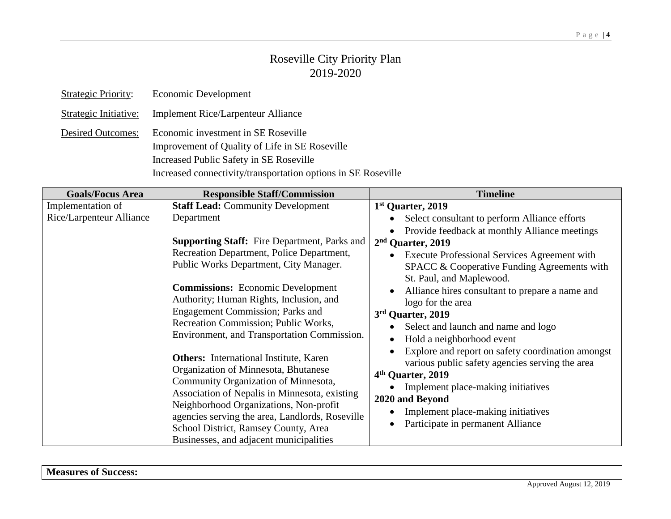| <b>Strategic Priority:</b> | Economic Development                                                                                                             |
|----------------------------|----------------------------------------------------------------------------------------------------------------------------------|
| Strategic Initiative:      | <b>Implement Rice/Larpenteur Alliance</b>                                                                                        |
| <b>Desired Outcomes:</b>   | Economic investment in SE Roseville<br>Improvement of Quality of Life in SE Roseville<br>Increased Public Safety in SE Roseville |
|                            | Increased connectivity/transportation options in SE Roseville                                                                    |

| <b>Goals/Focus Area</b>                       | <b>Responsible Staff/Commission</b>                                                                                                                                                                                                                                                                                                                                                                                   | <b>Timeline</b>                                                                                                                                                                                                                                                                                                                                                                                                                   |
|-----------------------------------------------|-----------------------------------------------------------------------------------------------------------------------------------------------------------------------------------------------------------------------------------------------------------------------------------------------------------------------------------------------------------------------------------------------------------------------|-----------------------------------------------------------------------------------------------------------------------------------------------------------------------------------------------------------------------------------------------------------------------------------------------------------------------------------------------------------------------------------------------------------------------------------|
| Implementation of<br>Rice/Larpenteur Alliance | <b>Staff Lead: Community Development</b><br>Department                                                                                                                                                                                                                                                                                                                                                                | 1st Quarter, 2019<br>Select consultant to perform Alliance efforts<br>Provide feedback at monthly Alliance meetings                                                                                                                                                                                                                                                                                                               |
|                                               | <b>Supporting Staff:</b> Fire Department, Parks and<br>Recreation Department, Police Department,<br>Public Works Department, City Manager.<br><b>Commissions:</b> Economic Development<br>Authority; Human Rights, Inclusion, and<br><b>Engagement Commission</b> ; Parks and<br>Recreation Commission; Public Works,<br>Environment, and Transportation Commission.<br><b>Others:</b> International Institute, Karen | 2 <sup>nd</sup> Quarter, 2019<br>Execute Professional Services Agreement with<br>SPACC & Cooperative Funding Agreements with<br>St. Paul, and Maplewood.<br>Alliance hires consultant to prepare a name and<br>logo for the area<br>3rd Quarter, 2019<br>Select and launch and name and logo<br>Hold a neighborhood event<br>Explore and report on safety coordination amongst<br>various public safety agencies serving the area |
|                                               | Organization of Minnesota, Bhutanese<br>Community Organization of Minnesota,<br>Association of Nepalis in Minnesota, existing<br>Neighborhood Organizations, Non-profit<br>agencies serving the area, Landlords, Roseville<br>School District, Ramsey County, Area<br>Businesses, and adjacent municipalities                                                                                                         | 4 <sup>th</sup> Quarter, 2019<br>Implement place-making initiatives<br>2020 and Beyond<br>Implement place-making initiatives<br>Participate in permanent Alliance                                                                                                                                                                                                                                                                 |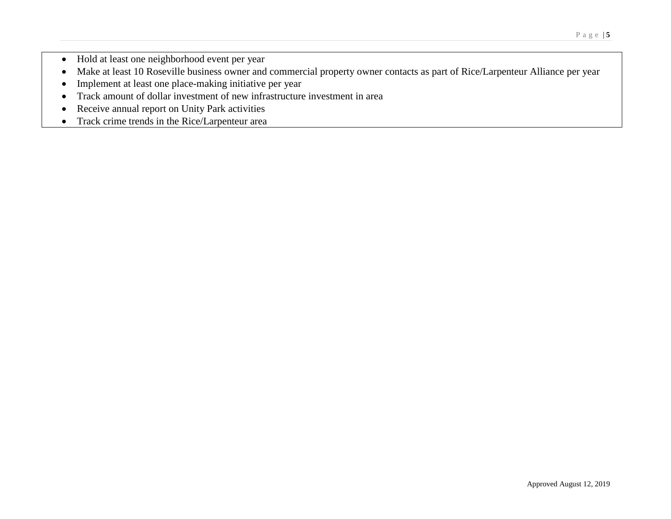- Hold at least one neighborhood event per year
- Make at least 10 Roseville business owner and commercial property owner contacts as part of Rice/Larpenteur Alliance per year
- Implement at least one place-making initiative per year
- Track amount of dollar investment of new infrastructure investment in area
- Receive annual report on Unity Park activities
- Track crime trends in the Rice/Larpenteur area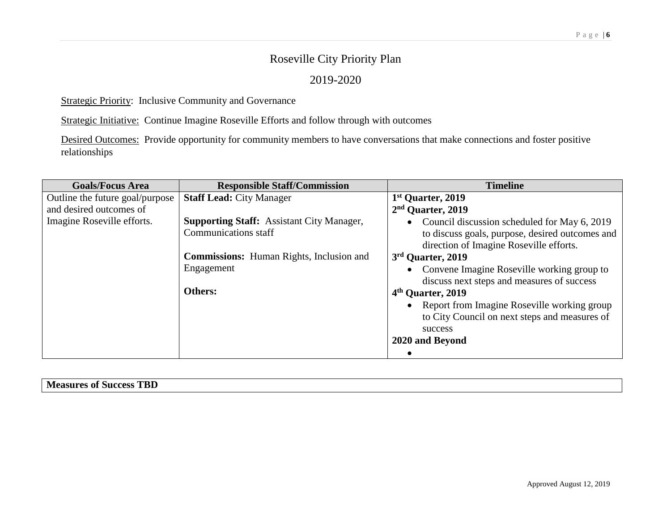### 2019-2020

Strategic Priority: Inclusive Community and Governance

Strategic Initiative: Continue Imagine Roseville Efforts and follow through with outcomes

Desired Outcomes: Provide opportunity for community members to have conversations that make connections and foster positive relationships

| <b>Goals/Focus Area</b>         | <b>Responsible Staff/Commission</b>                                             | <b>Timeline</b>                                                                                                                              |
|---------------------------------|---------------------------------------------------------------------------------|----------------------------------------------------------------------------------------------------------------------------------------------|
| Outline the future goal/purpose | <b>Staff Lead: City Manager</b>                                                 | 1 <sup>st</sup> Quarter, 2019                                                                                                                |
| and desired outcomes of         |                                                                                 | 2 <sup>nd</sup> Quarter, 2019                                                                                                                |
| Imagine Roseville efforts.      | <b>Supporting Staff:</b> Assistant City Manager,<br><b>Communications staff</b> | • Council discussion scheduled for May 6, 2019<br>to discuss goals, purpose, desired outcomes and<br>direction of Imagine Roseville efforts. |
|                                 | <b>Commissions:</b> Human Rights, Inclusion and                                 | 3rd Quarter, 2019                                                                                                                            |
|                                 | Engagement                                                                      | • Convene Imagine Roseville working group to                                                                                                 |
|                                 |                                                                                 | discuss next steps and measures of success                                                                                                   |
|                                 | <b>Others:</b>                                                                  | 4 <sup>th</sup> Quarter, 2019                                                                                                                |
|                                 |                                                                                 | • Report from Imagine Roseville working group<br>to City Council on next steps and measures of<br>success                                    |
|                                 |                                                                                 | 2020 and Beyond                                                                                                                              |
|                                 |                                                                                 |                                                                                                                                              |

| mm.<br>`µ<br><b>IOOOOO</b><br>л1<br>n<br>TATA<br><b>DULLESS</b><br>, , , ,<br>эш<br>பய<br>ָטע |  |
|-----------------------------------------------------------------------------------------------|--|
|                                                                                               |  |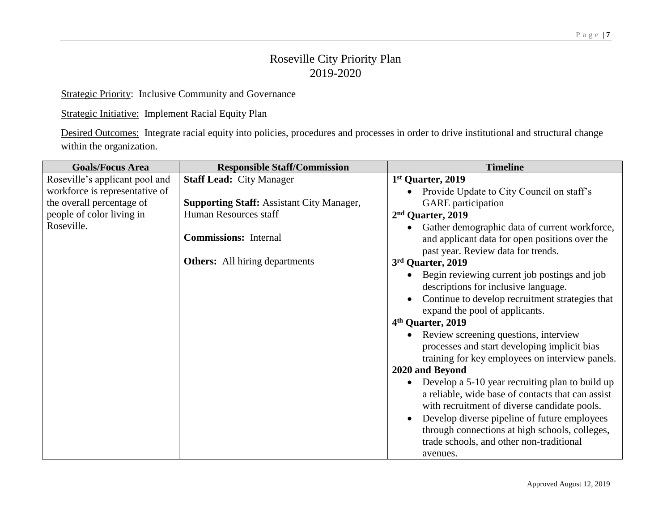Strategic Priority: Inclusive Community and Governance

Strategic Initiative: Implement Racial Equity Plan

Desired Outcomes: Integrate racial equity into policies, procedures and processes in order to drive institutional and structural change within the organization.

| <b>Goals/Focus Area</b>                                          | <b>Responsible Staff/Commission</b>              | <b>Timeline</b>                                                        |
|------------------------------------------------------------------|--------------------------------------------------|------------------------------------------------------------------------|
| Roseville's applicant pool and<br>workforce is representative of | <b>Staff Lead: City Manager</b>                  | 1st Quarter, 2019                                                      |
| the overall percentage of                                        | <b>Supporting Staff: Assistant City Manager,</b> | Provide Update to City Council on staff's<br><b>GARE</b> participation |
| people of color living in                                        | Human Resources staff                            | 2 <sup>nd</sup> Quarter, 2019                                          |
| Roseville.                                                       |                                                  | Gather demographic data of current workforce,                          |
|                                                                  | <b>Commissions:</b> Internal                     | and applicant data for open positions over the                         |
|                                                                  |                                                  | past year. Review data for trends.                                     |
|                                                                  | <b>Others:</b> All hiring departments            | 3rd Quarter, 2019                                                      |
|                                                                  |                                                  | Begin reviewing current job postings and job                           |
|                                                                  |                                                  | descriptions for inclusive language.                                   |
|                                                                  |                                                  | Continue to develop recruitment strategies that                        |
|                                                                  |                                                  | expand the pool of applicants.                                         |
|                                                                  |                                                  | 4 <sup>th</sup> Quarter, 2019                                          |
|                                                                  |                                                  | Review screening questions, interview<br>$\bullet$                     |
|                                                                  |                                                  | processes and start developing implicit bias                           |
|                                                                  |                                                  | training for key employees on interview panels.                        |
|                                                                  |                                                  | 2020 and Beyond                                                        |
|                                                                  |                                                  | Develop a 5-10 year recruiting plan to build up<br>$\bullet$           |
|                                                                  |                                                  | a reliable, wide base of contacts that can assist                      |
|                                                                  |                                                  | with recruitment of diverse candidate pools.                           |
|                                                                  |                                                  | Develop diverse pipeline of future employees                           |
|                                                                  |                                                  | through connections at high schools, colleges,                         |
|                                                                  |                                                  | trade schools, and other non-traditional                               |
|                                                                  |                                                  | avenues.                                                               |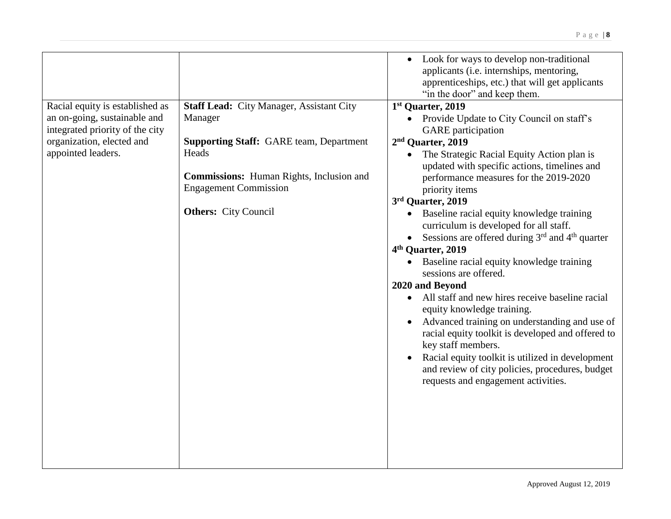|                                 |                                                 | Look for ways to develop non-traditional               |
|---------------------------------|-------------------------------------------------|--------------------------------------------------------|
|                                 |                                                 | applicants (i.e. internships, mentoring,               |
|                                 |                                                 | apprenticeships, etc.) that will get applicants        |
|                                 |                                                 | "in the door" and keep them.                           |
| Racial equity is established as | <b>Staff Lead: City Manager, Assistant City</b> | 1st Quarter, 2019                                      |
| an on-going, sustainable and    | Manager                                         | • Provide Update to City Council on staff's            |
| integrated priority of the city |                                                 | <b>GARE</b> participation                              |
| organization, elected and       | <b>Supporting Staff: GARE team, Department</b>  | 2 <sup>nd</sup> Quarter, 2019                          |
| appointed leaders.              | Heads                                           | The Strategic Racial Equity Action plan is             |
|                                 |                                                 | updated with specific actions, timelines and           |
|                                 | <b>Commissions:</b> Human Rights, Inclusion and | performance measures for the 2019-2020                 |
|                                 | <b>Engagement Commission</b>                    | priority items                                         |
|                                 |                                                 | 3rd Quarter, 2019                                      |
|                                 | <b>Others:</b> City Council                     | Baseline racial equity knowledge training              |
|                                 |                                                 | curriculum is developed for all staff.                 |
|                                 |                                                 | • Sessions are offered during $3rd$ and $4th$ quarter  |
|                                 |                                                 | 4 <sup>th</sup> Quarter, 2019                          |
|                                 |                                                 | Baseline racial equity knowledge training<br>$\bullet$ |
|                                 |                                                 | sessions are offered.                                  |
|                                 |                                                 | 2020 and Beyond                                        |
|                                 |                                                 | • All staff and new hires receive baseline racial      |
|                                 |                                                 | equity knowledge training.                             |
|                                 |                                                 | Advanced training on understanding and use of          |
|                                 |                                                 | racial equity toolkit is developed and offered to      |
|                                 |                                                 | key staff members.                                     |
|                                 |                                                 | Racial equity toolkit is utilized in development       |
|                                 |                                                 | and review of city policies, procedures, budget        |
|                                 |                                                 | requests and engagement activities.                    |
|                                 |                                                 |                                                        |
|                                 |                                                 |                                                        |
|                                 |                                                 |                                                        |
|                                 |                                                 |                                                        |
|                                 |                                                 |                                                        |
|                                 |                                                 |                                                        |
|                                 |                                                 |                                                        |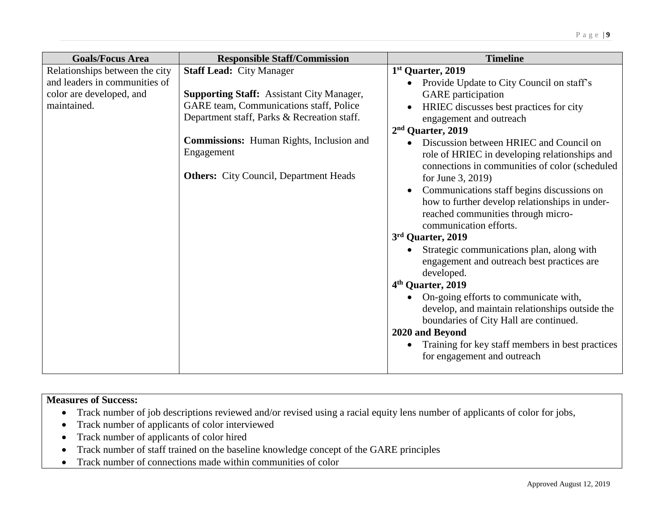| <b>Goals/Focus Area</b>                                         | <b>Responsible Staff/Commission</b>                           | <b>Timeline</b>                                                                                                                                              |
|-----------------------------------------------------------------|---------------------------------------------------------------|--------------------------------------------------------------------------------------------------------------------------------------------------------------|
| Relationships between the city<br>and leaders in communities of | <b>Staff Lead: City Manager</b>                               | 1st Quarter, 2019<br>Provide Update to City Council on staff's                                                                                               |
| color are developed, and                                        | <b>Supporting Staff: Assistant City Manager,</b>              | <b>GARE</b> participation                                                                                                                                    |
| maintained.                                                     | GARE team, Communications staff, Police                       | HRIEC discusses best practices for city                                                                                                                      |
|                                                                 | Department staff, Parks & Recreation staff.                   | engagement and outreach                                                                                                                                      |
|                                                                 |                                                               | 2 <sup>nd</sup> Quarter, 2019                                                                                                                                |
|                                                                 | <b>Commissions:</b> Human Rights, Inclusion and<br>Engagement | Discussion between HRIEC and Council on<br>role of HRIEC in developing relationships and<br>connections in communities of color (scheduled                   |
|                                                                 | <b>Others:</b> City Council, Department Heads                 | for June 3, 2019)                                                                                                                                            |
|                                                                 |                                                               | Communications staff begins discussions on<br>how to further develop relationships in under-<br>reached communities through micro-<br>communication efforts. |
|                                                                 |                                                               | 3rd Quarter, 2019                                                                                                                                            |
|                                                                 |                                                               | Strategic communications plan, along with<br>engagement and outreach best practices are<br>developed.                                                        |
|                                                                 |                                                               | 4 <sup>th</sup> Quarter, 2019                                                                                                                                |
|                                                                 |                                                               | On-going efforts to communicate with,<br>develop, and maintain relationships outside the<br>boundaries of City Hall are continued.                           |
|                                                                 |                                                               | 2020 and Beyond                                                                                                                                              |
|                                                                 |                                                               | Training for key staff members in best practices<br>for engagement and outreach                                                                              |

- Track number of job descriptions reviewed and/or revised using a racial equity lens number of applicants of color for jobs,
- Track number of applicants of color interviewed
- Track number of applicants of color hired
- Track number of staff trained on the baseline knowledge concept of the GARE principles
- Track number of connections made within communities of color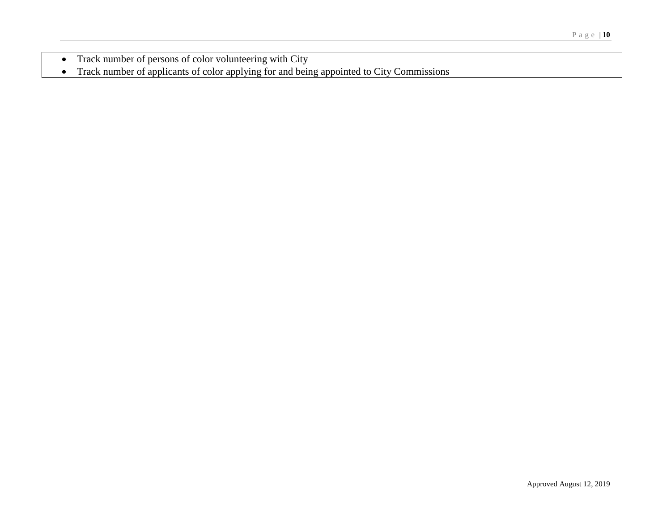- Track number of persons of color volunteering with City
- Track number of applicants of color applying for and being appointed to City Commissions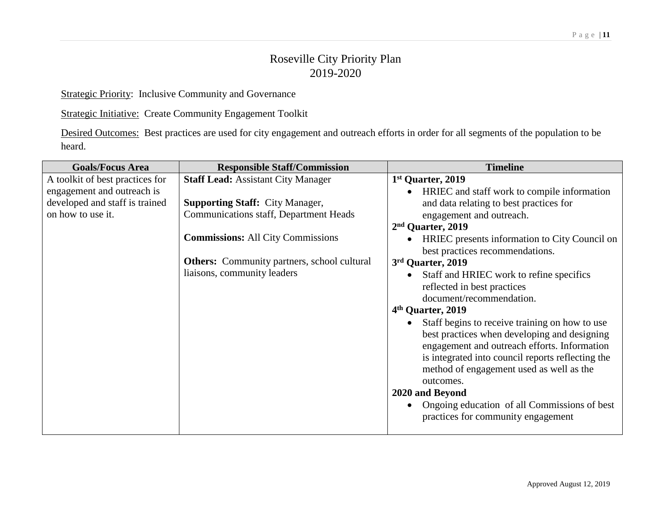Strategic Priority: Inclusive Community and Governance

Strategic Initiative: Create Community Engagement Toolkit

Desired Outcomes: Best practices are used for city engagement and outreach efforts in order for all segments of the population to be heard.

| <b>Goals/Focus Area</b>         | <b>Responsible Staff/Commission</b>                | <b>Timeline</b>                                          |
|---------------------------------|----------------------------------------------------|----------------------------------------------------------|
| A toolkit of best practices for | <b>Staff Lead: Assistant City Manager</b>          | 1 <sup>st</sup> Quarter, 2019                            |
| engagement and outreach is      |                                                    | HRIEC and staff work to compile information<br>$\bullet$ |
| developed and staff is trained  | <b>Supporting Staff: City Manager,</b>             | and data relating to best practices for                  |
| on how to use it.               | Communications staff, Department Heads             | engagement and outreach.                                 |
|                                 |                                                    | $2nd$ Quarter, 2019                                      |
|                                 | <b>Commissions:</b> All City Commissions           | HRIEC presents information to City Council on            |
|                                 |                                                    | best practices recommendations.                          |
|                                 | <b>Others:</b> Community partners, school cultural | 3rd Quarter, 2019                                        |
|                                 | liaisons, community leaders                        | Staff and HRIEC work to refine specifics                 |
|                                 |                                                    | reflected in best practices                              |
|                                 |                                                    | document/recommendation.                                 |
|                                 |                                                    | 4 <sup>th</sup> Quarter, 2019                            |
|                                 |                                                    | Staff begins to receive training on how to use           |
|                                 |                                                    | best practices when developing and designing             |
|                                 |                                                    | engagement and outreach efforts. Information             |
|                                 |                                                    | is integrated into council reports reflecting the        |
|                                 |                                                    | method of engagement used as well as the                 |
|                                 |                                                    | outcomes.                                                |
|                                 |                                                    | 2020 and Beyond                                          |
|                                 |                                                    | Ongoing education of all Commissions of best             |
|                                 |                                                    | practices for community engagement                       |
|                                 |                                                    |                                                          |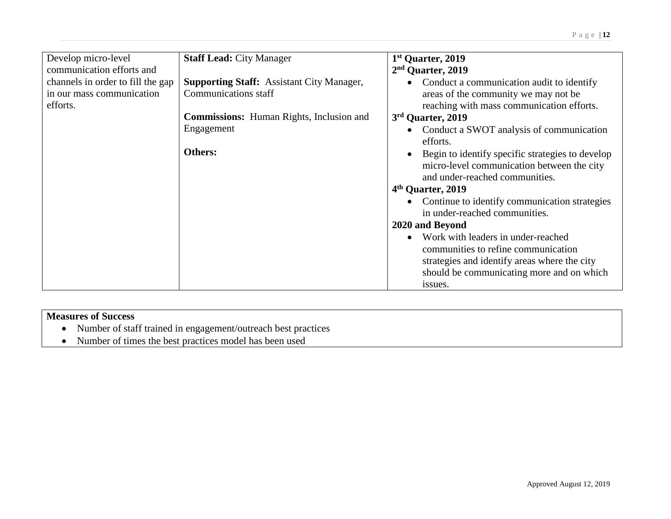| Develop micro-level<br>communication efforts and                           | <b>Staff Lead: City Manager</b>                                                 | 1 <sup>st</sup> Quarter, 2019<br>2 <sup>nd</sup> Quarter, 2019                                                                                                                                 |
|----------------------------------------------------------------------------|---------------------------------------------------------------------------------|------------------------------------------------------------------------------------------------------------------------------------------------------------------------------------------------|
| channels in order to fill the gap<br>in our mass communication<br>efforts. | <b>Supporting Staff:</b> Assistant City Manager,<br><b>Communications staff</b> | Conduct a communication audit to identify<br>$\bullet$<br>areas of the community we may not be<br>reaching with mass communication efforts.                                                    |
|                                                                            | <b>Commissions:</b> Human Rights, Inclusion and                                 | 3rd Quarter, 2019                                                                                                                                                                              |
|                                                                            | Engagement                                                                      | Conduct a SWOT analysis of communication<br>efforts.                                                                                                                                           |
|                                                                            | Others:                                                                         | Begin to identify specific strategies to develop<br>$\bullet$<br>micro-level communication between the city<br>and under-reached communities.                                                  |
|                                                                            |                                                                                 | 4 <sup>th</sup> Quarter, 2019                                                                                                                                                                  |
|                                                                            |                                                                                 | Continue to identify communication strategies<br>$\bullet$<br>in under-reached communities.                                                                                                    |
|                                                                            |                                                                                 | 2020 and Beyond                                                                                                                                                                                |
|                                                                            |                                                                                 | Work with leaders in under-reached<br>$\bullet$<br>communities to refine communication<br>strategies and identify areas where the city<br>should be communicating more and on which<br>issues. |

- Number of staff trained in engagement/outreach best practices
- Number of times the best practices model has been used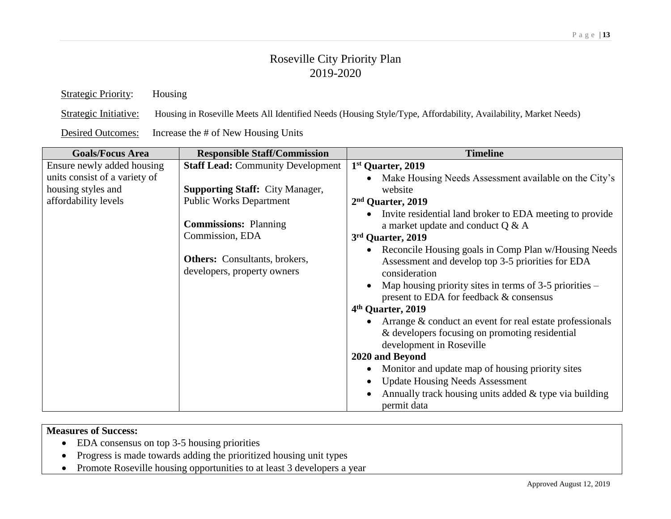Strategic Priority: Housing Strategic Initiative: Housing in Roseville Meets All Identified Needs (Housing Style/Type, Affordability, Availability, Market Needs)

Desired Outcomes: Increase the # of New Housing Units

| <b>Responsible Staff/Commission</b>                                                                                                                  | <b>Timeline</b>                                                                                                                                                                                                                                                                                                                                                                                                                                                                                                                                                                                                 |
|------------------------------------------------------------------------------------------------------------------------------------------------------|-----------------------------------------------------------------------------------------------------------------------------------------------------------------------------------------------------------------------------------------------------------------------------------------------------------------------------------------------------------------------------------------------------------------------------------------------------------------------------------------------------------------------------------------------------------------------------------------------------------------|
| <b>Staff Lead: Community Development</b><br><b>Supporting Staff: City Manager,</b><br><b>Public Works Department</b><br><b>Commissions: Planning</b> | 1 <sup>st</sup> Quarter, 2019<br>Make Housing Needs Assessment available on the City's<br>website<br>2 <sup>nd</sup> Quarter, 2019<br>Invite residential land broker to EDA meeting to provide<br>a market update and conduct $Q & A$                                                                                                                                                                                                                                                                                                                                                                           |
| <b>Others:</b> Consultants, brokers,<br>developers, property owners                                                                                  | 3rd Quarter, 2019<br>Reconcile Housing goals in Comp Plan w/Housing Needs<br>Assessment and develop top 3-5 priorities for EDA<br>consideration<br>Map housing priority sites in terms of $3-5$ priorities –<br>present to EDA for feedback & consensus<br>4 <sup>th</sup> Quarter, 2019<br>Arrange & conduct an event for real estate professionals<br>& developers focusing on promoting residential<br>development in Roseville<br>2020 and Beyond<br>Monitor and update map of housing priority sites<br><b>Update Housing Needs Assessment</b><br>Annually track housing units added $&$ type via building |
|                                                                                                                                                      | Commission, EDA                                                                                                                                                                                                                                                                                                                                                                                                                                                                                                                                                                                                 |

- EDA consensus on top 3-5 housing priorities
- Progress is made towards adding the prioritized housing unit types
- Promote Roseville housing opportunities to at least 3 developers a year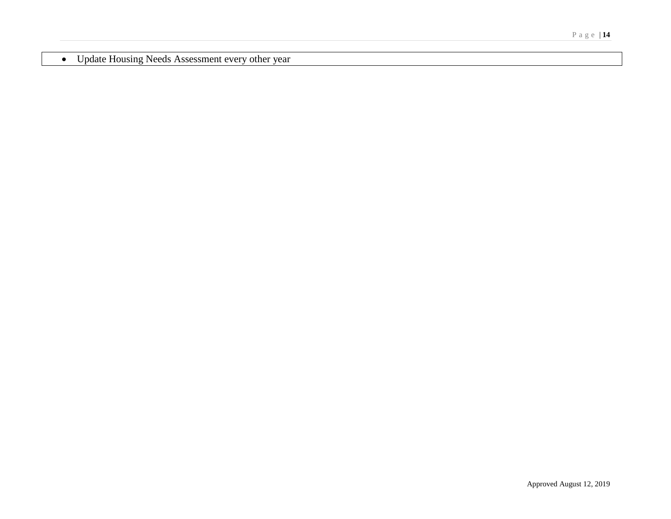Update Housing Needs Assessment every other year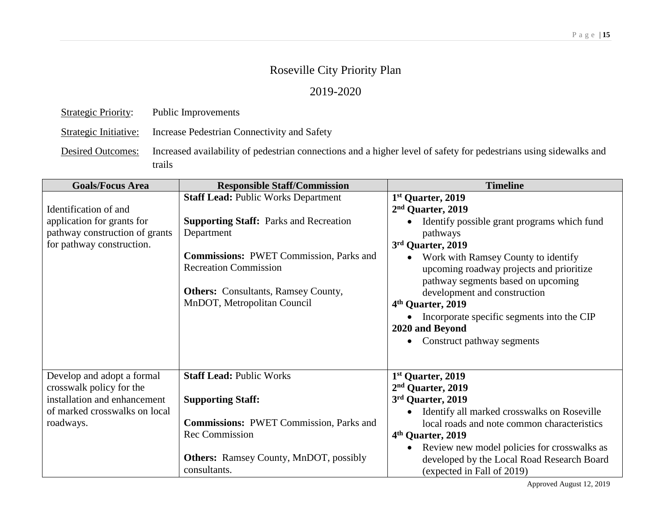### 2019-2020

| <b>Strategic Priority:</b> | Public Improvements |
|----------------------------|---------------------|
|                            |                     |

Strategic Initiative: Increase Pedestrian Connectivity and Safety

Desired Outcomes: Increased availability of pedestrian connections and a higher level of safety for pedestrians using sidewalks and trails

| <b>Goals/Focus Area</b>                                                                                                              | <b>Responsible Staff/Commission</b>                                                                                                                                                                                                                                      | <b>Timeline</b>                                                                                                                                                                                                                                                                                                                                                                                                                         |
|--------------------------------------------------------------------------------------------------------------------------------------|--------------------------------------------------------------------------------------------------------------------------------------------------------------------------------------------------------------------------------------------------------------------------|-----------------------------------------------------------------------------------------------------------------------------------------------------------------------------------------------------------------------------------------------------------------------------------------------------------------------------------------------------------------------------------------------------------------------------------------|
| Identification of and<br>application for grants for<br>pathway construction of grants<br>for pathway construction.                   | <b>Staff Lead: Public Works Department</b><br><b>Supporting Staff:</b> Parks and Recreation<br>Department<br><b>Commissions: PWET Commission, Parks and</b><br><b>Recreation Commission</b><br><b>Others:</b> Consultants, Ramsey County,<br>MnDOT, Metropolitan Council | 1 <sup>st</sup> Quarter, 2019<br>2 <sup>nd</sup> Quarter, 2019<br>Identify possible grant programs which fund<br>pathways<br>3rd Quarter, 2019<br>Work with Ramsey County to identify<br>upcoming roadway projects and prioritize<br>pathway segments based on upcoming<br>development and construction<br>4 <sup>th</sup> Quarter, 2019<br>Incorporate specific segments into the CIP<br>2020 and Beyond<br>Construct pathway segments |
| Develop and adopt a formal<br>crosswalk policy for the<br>installation and enhancement<br>of marked crosswalks on local<br>roadways. | <b>Staff Lead: Public Works</b><br><b>Supporting Staff:</b><br><b>Commissions: PWET Commission, Parks and</b><br><b>Rec Commission</b><br><b>Others:</b> Ramsey County, MnDOT, possibly<br>consultants.                                                                  | 1st Quarter, 2019<br>2 <sup>nd</sup> Quarter, 2019<br>3rd Quarter, 2019<br>Identify all marked crosswalks on Roseville<br>local roads and note common characteristics<br>4 <sup>th</sup> Quarter, 2019<br>Review new model policies for crosswalks as<br>developed by the Local Road Research Board<br>(expected in Fall of 2019)                                                                                                       |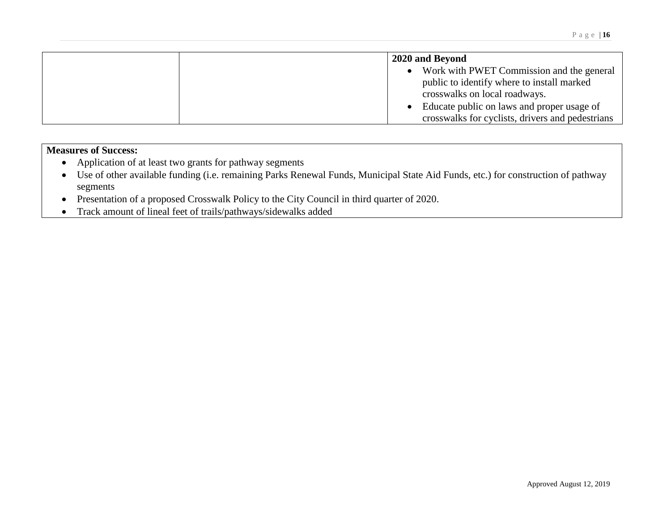| 2020 and Beyond                                                                                                                                                                                                                           |
|-------------------------------------------------------------------------------------------------------------------------------------------------------------------------------------------------------------------------------------------|
| Work with PWET Commission and the general<br>$\bullet$<br>public to identify where to install marked<br>crosswalks on local roadways.<br>• Educate public on laws and proper usage of<br>crosswalks for cyclists, drivers and pedestrians |

- Application of at least two grants for pathway segments
- Use of other available funding (i.e. remaining Parks Renewal Funds, Municipal State Aid Funds, etc.) for construction of pathway segments
- Presentation of a proposed Crosswalk Policy to the City Council in third quarter of 2020.
- Track amount of lineal feet of trails/pathways/sidewalks added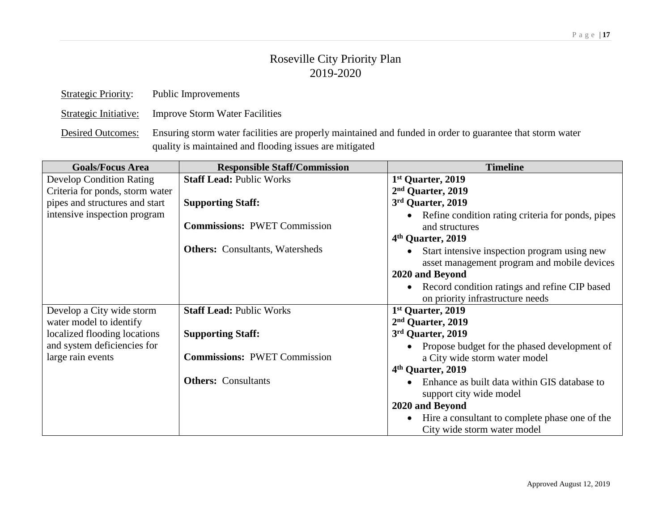| <b>Strategic Priority:</b> | Public Improvements                                            |
|----------------------------|----------------------------------------------------------------|
|                            | Strategic Initiative: Improve Storm Water Facilities           |
|                            | Desired Outcomes: Ensuring storm water facilities are properly |

ly maintained and funded in order to guarantee that storm water quality is maintained and flooding issues are mitigated

| <b>Goals/Focus Area</b>         | <b>Responsible Staff/Commission</b>    | <b>Timeline</b>                                             |
|---------------------------------|----------------------------------------|-------------------------------------------------------------|
| <b>Develop Condition Rating</b> | <b>Staff Lead: Public Works</b>        | 1 <sup>st</sup> Quarter, 2019                               |
| Criteria for ponds, storm water |                                        | 2 <sup>nd</sup> Quarter, 2019                               |
| pipes and structures and start  | <b>Supporting Staff:</b>               | 3rd Quarter, 2019                                           |
| intensive inspection program    |                                        | Refine condition rating criteria for ponds, pipes           |
|                                 | <b>Commissions: PWET Commission</b>    | and structures                                              |
|                                 |                                        | 4 <sup>th</sup> Quarter, 2019                               |
|                                 | <b>Others:</b> Consultants, Watersheds | Start intensive inspection program using new<br>$\bullet$   |
|                                 |                                        | asset management program and mobile devices                 |
|                                 |                                        | 2020 and Beyond                                             |
|                                 |                                        | • Record condition ratings and refine CIP based             |
|                                 |                                        | on priority infrastructure needs                            |
| Develop a City wide storm       | <b>Staff Lead: Public Works</b>        | 1 <sup>st</sup> Quarter, 2019                               |
| water model to identify         |                                        | 2 <sup>nd</sup> Quarter, 2019                               |
| localized flooding locations    | <b>Supporting Staff:</b>               | 3rd Quarter, 2019                                           |
| and system deficiencies for     |                                        | Propose budget for the phased development of<br>$\bullet$   |
| large rain events               | <b>Commissions: PWET Commission</b>    | a City wide storm water model                               |
|                                 |                                        | 4 <sup>th</sup> Quarter, 2019                               |
|                                 | <b>Others:</b> Consultants             | Enhance as built data within GIS database to                |
|                                 |                                        | support city wide model                                     |
|                                 |                                        | 2020 and Beyond                                             |
|                                 |                                        | Hire a consultant to complete phase one of the<br>$\bullet$ |
|                                 |                                        | City wide storm water model                                 |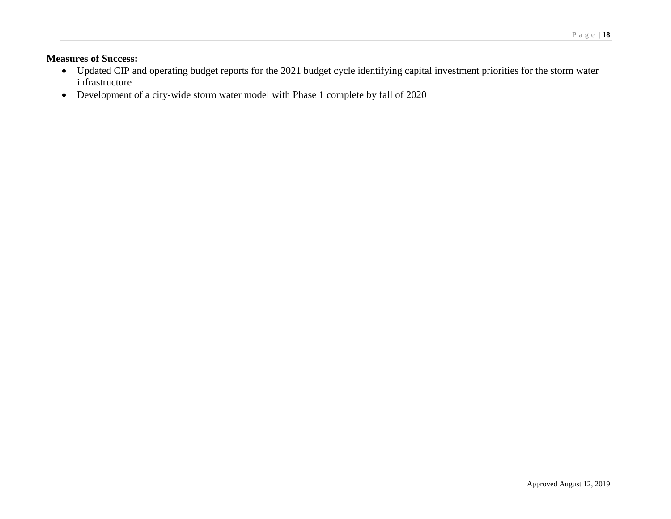- Updated CIP and operating budget reports for the 2021 budget cycle identifying capital investment priorities for the storm water infrastructure
- Development of a city-wide storm water model with Phase 1 complete by fall of 2020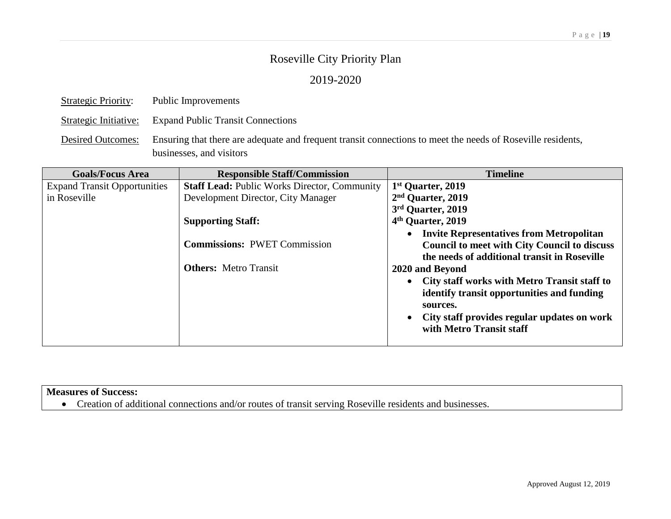### 2019-2020

| <b>Strategic Priority:</b> | Public Improvements                                                                                                                     |
|----------------------------|-----------------------------------------------------------------------------------------------------------------------------------------|
|                            | Strategic Initiative: Expand Public Transit Connections                                                                                 |
| <b>Desired Outcomes:</b>   | Ensuring that there are adequate and frequent transit connections to meet the needs of Roseville residents,<br>businesses, and visitors |

| <b>Goals/Focus Area</b>             | <b>Responsible Staff/Commission</b>                 | <b>Timeline</b>                                     |
|-------------------------------------|-----------------------------------------------------|-----------------------------------------------------|
| <b>Expand Transit Opportunities</b> | <b>Staff Lead: Public Works Director, Community</b> | 1 <sup>st</sup> Quarter, 2019                       |
| in Roseville                        | Development Director, City Manager                  | 2 <sup>nd</sup> Quarter, 2019                       |
|                                     |                                                     | 3rd Quarter, 2019                                   |
|                                     | <b>Supporting Staff:</b>                            | 4 <sup>th</sup> Quarter, 2019                       |
|                                     |                                                     | • Invite Representatives from Metropolitan          |
|                                     | <b>Commissions: PWET Commission</b>                 | <b>Council to meet with City Council to discuss</b> |
|                                     |                                                     | the needs of additional transit in Roseville        |
|                                     | <b>Others:</b> Metro Transit                        | 2020 and Beyond                                     |
|                                     |                                                     | • City staff works with Metro Transit staff to      |
|                                     |                                                     | identify transit opportunities and funding          |
|                                     |                                                     | sources.                                            |
|                                     |                                                     | • City staff provides regular updates on work       |
|                                     |                                                     | with Metro Transit staff                            |
|                                     |                                                     |                                                     |

### **Measures of Success:**

Creation of additional connections and/or routes of transit serving Roseville residents and businesses.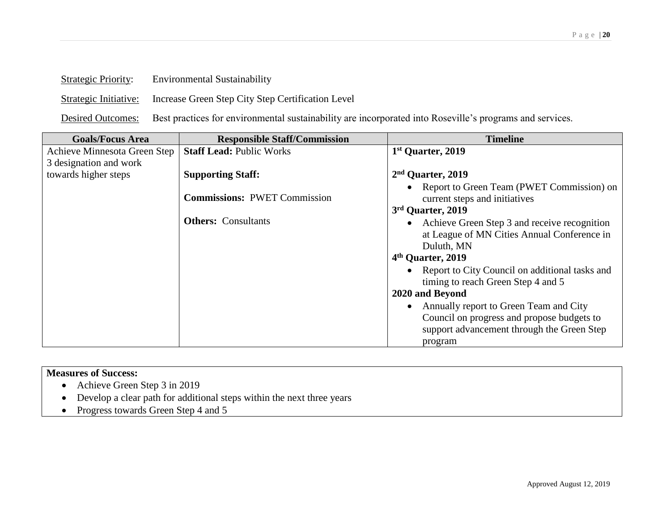| Strategic Priority:   | Environmental Sustainability                      |
|-----------------------|---------------------------------------------------|
| Strategic Initiative: | Increase Green Step City Step Certification Level |

 $S_{t}$   $\mathbf{D}_{t}$   $\mathbf{D}_{t}$   $\mathbf{D}_{t}$   $\mathbf{D}_{t}$   $\mathbf{D}_{t}$   $\mathbf{D}_{t}$   $\mathbf{D}_{t}$   $\mathbf{D}_{t}$   $\mathbf{D}_{t}$   $\mathbf{D}_{t}$   $\mathbf{D}_{t}$   $\mathbf{D}_{t}$   $\mathbf{D}_{t}$   $\mathbf{D}_{t}$   $\mathbf{D}_{t}$   $\mathbf{D}_{t}$   $\mathbf{D}_{t}$   $\mathbf{D}_{t}$   $\mathbf{D}_{t}$   $\mathbf{$ 

Desired Outcomes: Best practices for environmental sustainability are incorporated into Roseville's programs and services.

| <b>Goals/Focus Area</b>      | <b>Responsible Staff/Commission</b> | <b>Timeline</b>                                                                                             |
|------------------------------|-------------------------------------|-------------------------------------------------------------------------------------------------------------|
| Achieve Minnesota Green Step | <b>Staff Lead: Public Works</b>     | 1st Quarter, 2019                                                                                           |
| 3 designation and work       |                                     |                                                                                                             |
| towards higher steps         | <b>Supporting Staff:</b>            | 2 <sup>nd</sup> Quarter, 2019                                                                               |
|                              | <b>Commissions: PWET Commission</b> | • Report to Green Team (PWET Commission) on<br>current steps and initiatives<br>3rd Quarter, 2019           |
|                              | <b>Others:</b> Consultants          | • Achieve Green Step 3 and receive recognition<br>at League of MN Cities Annual Conference in<br>Duluth, MN |
|                              |                                     | 4 <sup>th</sup> Quarter, 2019                                                                               |
|                              |                                     | • Report to City Council on additional tasks and<br>timing to reach Green Step 4 and 5                      |
|                              |                                     | 2020 and Beyond                                                                                             |
|                              |                                     | • Annually report to Green Team and City                                                                    |
|                              |                                     | Council on progress and propose budgets to                                                                  |
|                              |                                     | support advancement through the Green Step                                                                  |
|                              |                                     | program                                                                                                     |

- Achieve Green Step 3 in 2019
- Develop a clear path for additional steps within the next three years
- Progress towards Green Step 4 and 5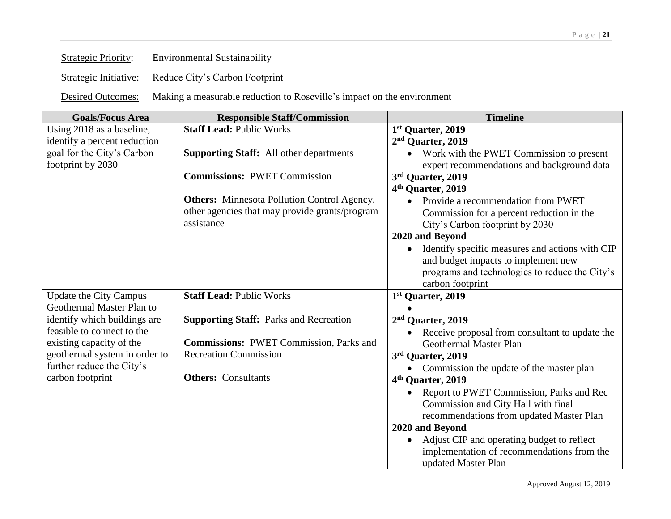| <b>Strategic Priority:</b> | <b>Environmental Sustainability</b> |
|----------------------------|-------------------------------------|
|                            |                                     |

Strategic Initiative: Reduce City's Carbon Footprint

Desired Outcomes: Making a measurable reduction to Roseville's impact on the environment

| <b>Goals/Focus Area</b>       | <b>Responsible Staff/Commission</b>                | <b>Timeline</b>                                       |
|-------------------------------|----------------------------------------------------|-------------------------------------------------------|
| Using 2018 as a baseline,     | <b>Staff Lead: Public Works</b>                    | 1st Quarter, 2019                                     |
| identify a percent reduction  |                                                    | 2 <sup>nd</sup> Quarter, 2019                         |
| goal for the City's Carbon    | <b>Supporting Staff:</b> All other departments     | Work with the PWET Commission to present              |
| footprint by 2030             |                                                    | expert recommendations and background data            |
|                               | <b>Commissions: PWET Commission</b>                | 3rd Quarter, 2019                                     |
|                               |                                                    | 4 <sup>th</sup> Quarter, 2019                         |
|                               | <b>Others:</b> Minnesota Pollution Control Agency, | Provide a recommendation from PWET                    |
|                               | other agencies that may provide grants/program     | Commission for a percent reduction in the             |
|                               | assistance                                         | City's Carbon footprint by 2030                       |
|                               |                                                    | 2020 and Beyond                                       |
|                               |                                                    | Identify specific measures and actions with CIP       |
|                               |                                                    | and budget impacts to implement new                   |
|                               |                                                    | programs and technologies to reduce the City's        |
|                               |                                                    | carbon footprint                                      |
| <b>Update the City Campus</b> | <b>Staff Lead: Public Works</b>                    | 1st Quarter, 2019                                     |
| Geothermal Master Plan to     |                                                    |                                                       |
| identify which buildings are  | <b>Supporting Staff: Parks and Recreation</b>      | 2 <sup>nd</sup> Quarter, 2019                         |
| feasible to connect to the    |                                                    | Receive proposal from consultant to update the        |
| existing capacity of the      | <b>Commissions: PWET Commission, Parks and</b>     | Geothermal Master Plan                                |
| geothermal system in order to | <b>Recreation Commission</b>                       | 3rd Quarter, 2019                                     |
| further reduce the City's     |                                                    | Commission the update of the master plan<br>$\bullet$ |
| carbon footprint              | <b>Others:</b> Consultants                         | 4 <sup>th</sup> Quarter, 2019                         |
|                               |                                                    | Report to PWET Commission, Parks and Rec              |
|                               |                                                    | Commission and City Hall with final                   |
|                               |                                                    | recommendations from updated Master Plan              |
|                               |                                                    | 2020 and Beyond                                       |
|                               |                                                    | Adjust CIP and operating budget to reflect            |
|                               |                                                    | implementation of recommendations from the            |
|                               |                                                    | updated Master Plan                                   |